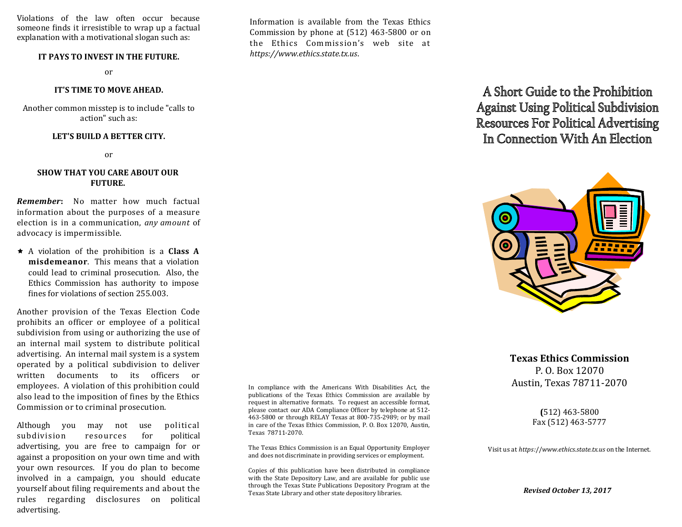Violations of the law often occur because someone finds it irresistible to wrap up a factual explanation with a motivational slogan such as:

### **IT PAYS TO INVEST IN THE FUTURE.**

or

#### **IT'S TIME TO MOVE AHEAD.**

Another common misstep is to include "calls to action" such as:

#### **LET'S BUILD A BETTER CITY.**

or

## **SHOW THAT YOU CARE ABOUT OUR FUTURE.**

*Remember***:** No matter how much factual information about the purposes of a measure election is in a communication, *any amount* of advocacy is impermissible.

 A violation of the prohibition is a **Class A misdemeanor**. This means that a violation could lead to criminal prosecution. Also, the Ethics Commission has authority to impose fines for violations of section 255.003.

Another provision of the Texas Election Code prohibits an officer or employee of a political subdivision from using or authorizing the use of an internal mail system to distribute political advertising. An internal mail system is a system operated by a political subdivision to deliver written documents to its officers or employees. A violation of this prohibition could also lead to the imposition of fines by the Ethics Commission or to criminal prosecution.

Although you may not use political subdivision resources for political advertising, you are free to campaign for or against a proposition on your own time and with your own resources. If you do plan to become involved in a campaign, you should educate yourself about filing requirements and about the rules regarding disclosures on political advertising.

In compliance with the Americans With Disabilities Act, the publications of the Texas Ethics Commission are available by request in alternative formats. To request an accessible format, please contact our ADA Compliance Officer by telephone at 512- 463-5800 or through RELAY Texas at 800-735-2989; or by mail in care of the Texas Ethics Commission, P. O. Box 12070, Austin, Texas 78711-2070.

The Texas Ethics Commission is an Equal Opportunity Employer and does not discriminate in providing services or employment.

Copies of this publication have been distributed in compliance with the State Depository Law, and are available for public use through the Texas State Publications Depository Program at the Texas State Library and other state depository libraries.

A Short Guide to the Prohibition **Against Using Political Subdivision Resources For Political Advertising** In Connection With An Flection



**Texas Ethics Commission** P. O. Box 12070 Austin, Texas 78711-2070

> **(**512) 463-5800 Fax (512) 463-5777

Visit us at *https:*//*www.ethics.state.tx.us* on the Internet.

*Revised October 13, 2017*

Information is available from the Texas Ethics Commission by phone at (512) 463-5800 or on the Ethics Commission's web site at *https://www.ethics.state.tx.us*.